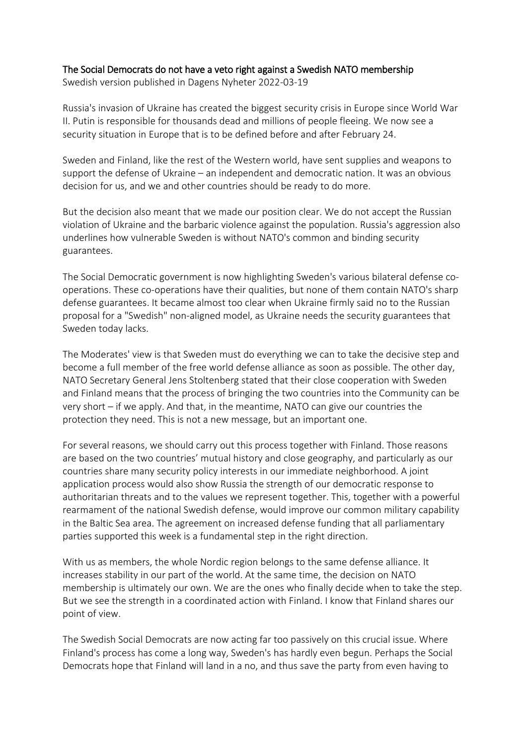## The Social Democrats do not have a veto right against a Swedish NATO membership

Swedish version published in Dagens Nyheter 2022-03-19

Russia's invasion of Ukraine has created the biggest security crisis in Europe since World War II. Putin is responsible for thousands dead and millions of people fleeing. We now see a security situation in Europe that is to be defined before and after February 24.

Sweden and Finland, like the rest of the Western world, have sent supplies and weapons to support the defense of Ukraine – an independent and democratic nation. It was an obvious decision for us, and we and other countries should be ready to do more.

But the decision also meant that we made our position clear. We do not accept the Russian violation of Ukraine and the barbaric violence against the population. Russia's aggression also underlines how vulnerable Sweden is without NATO's common and binding security guarantees.

The Social Democratic government is now highlighting Sweden's various bilateral defense cooperations. These co-operations have their qualities, but none of them contain NATO's sharp defense guarantees. It became almost too clear when Ukraine firmly said no to the Russian proposal for a "Swedish" non-aligned model, as Ukraine needs the security guarantees that Sweden today lacks.

The Moderates' view is that Sweden must do everything we can to take the decisive step and become a full member of the free world defense alliance as soon as possible. The other day, NATO Secretary General Jens Stoltenberg stated that their close cooperation with Sweden and Finland means that the process of bringing the two countries into the Community can be very short – if we apply. And that, in the meantime, NATO can give our countries the protection they need. This is not a new message, but an important one.

For several reasons, we should carry out this process together with Finland. Those reasons are based on the two countries' mutual history and close geography, and particularly as our countries share many security policy interests in our immediate neighborhood. A joint application process would also show Russia the strength of our democratic response to authoritarian threats and to the values we represent together. This, together with a powerful rearmament of the national Swedish defense, would improve our common military capability in the Baltic Sea area. The agreement on increased defense funding that all parliamentary parties supported this week is a fundamental step in the right direction.

With us as members, the whole Nordic region belongs to the same defense alliance. It increases stability in our part of the world. At the same time, the decision on NATO membership is ultimately our own. We are the ones who finally decide when to take the step. But we see the strength in a coordinated action with Finland. I know that Finland shares our point of view.

The Swedish Social Democrats are now acting far too passively on this crucial issue. Where Finland's process has come a long way, Sweden's has hardly even begun. Perhaps the Social Democrats hope that Finland will land in a no, and thus save the party from even having to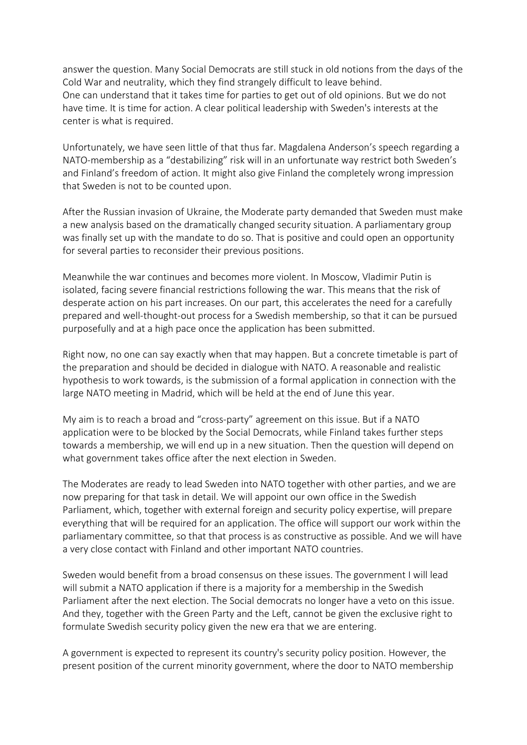answer the question. Many Social Democrats are still stuck in old notions from the days of the Cold War and neutrality, which they find strangely difficult to leave behind. One can understand that it takes time for parties to get out of old opinions. But we do not have time. It is time for action. A clear political leadership with Sweden's interests at the center is what is required.

Unfortunately, we have seen little of that thus far. Magdalena Anderson's speech regarding a NATO-membership as a "destabilizing" risk will in an unfortunate way restrict both Sweden's and Finland's freedom of action. It might also give Finland the completely wrong impression that Sweden is not to be counted upon.

After the Russian invasion of Ukraine, the Moderate party demanded that Sweden must make a new analysis based on the dramatically changed security situation. A parliamentary group was finally set up with the mandate to do so. That is positive and could open an opportunity for several parties to reconsider their previous positions.

Meanwhile the war continues and becomes more violent. In Moscow, Vladimir Putin is isolated, facing severe financial restrictions following the war. This means that the risk of desperate action on his part increases. On our part, this accelerates the need for a carefully prepared and well-thought-out process for a Swedish membership, so that it can be pursued purposefully and at a high pace once the application has been submitted.

Right now, no one can say exactly when that may happen. But a concrete timetable is part of the preparation and should be decided in dialogue with NATO. A reasonable and realistic hypothesis to work towards, is the submission of a formal application in connection with the large NATO meeting in Madrid, which will be held at the end of June this year.

My aim is to reach a broad and "cross-party" agreement on this issue. But if a NATO application were to be blocked by the Social Democrats, while Finland takes further steps towards a membership, we will end up in a new situation. Then the question will depend on what government takes office after the next election in Sweden.

The Moderates are ready to lead Sweden into NATO together with other parties, and we are now preparing for that task in detail. We will appoint our own office in the Swedish Parliament, which, together with external foreign and security policy expertise, will prepare everything that will be required for an application. The office will support our work within the parliamentary committee, so that that process is as constructive as possible. And we will have a very close contact with Finland and other important NATO countries.

Sweden would benefit from a broad consensus on these issues. The government I will lead will submit a NATO application if there is a majority for a membership in the Swedish Parliament after the next election. The Social democrats no longer have a veto on this issue. And they, together with the Green Party and the Left, cannot be given the exclusive right to formulate Swedish security policy given the new era that we are entering.

A government is expected to represent its country's security policy position. However, the present position of the current minority government, where the door to NATO membership